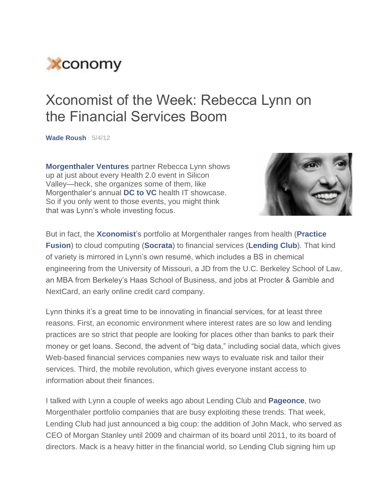

## Xconomist of the Week: Rebecca Lynn on the Financial Services Boom

**Wade Roush 5/4/12**

**Morgenthaler Ventures** partner Rebecca Lynn shows up at just about every Health 2.0 event in Silicon Valley—heck, she organizes some of them, like Morgenthaler's annual **DC to VC** health IT showcase. So if you only went to those events, you might think that was Lynn's whole investing focus.



But in fact, the **Xconomist**'s portfolio at Morgenthaler ranges from health (**Practice Fusion**) to cloud computing (**Socrata**) to financial services (**Lending Club**). That kind of variety is mirrored in Lynn's own resumé, which includes a BS in chemical engineering from the University of Missouri, a JD from the U.C. Berkeley School of Law, an MBA from Berkeley's Haas School of Business, and jobs at Procter & Gamble and NextCard, an early online credit card company.

Lynn thinks it's a great time to be innovating in financial services, for at least three reasons. First, an economic environment where interest rates are so low and lending practices are so strict that people are looking for places other than banks to park their money or get loans. Second, the advent of "big data," including social data, which gives Web-based financial services companies new ways to evaluate risk and tailor their services. Third, the mobile revolution, which gives everyone instant access to information about their finances.

I talked with Lynn a couple of weeks ago about Lending Club and **Pageonce**, two Morgenthaler portfolio companies that are busy exploiting these trends. That week, Lending Club had just announced a big coup: the addition of John Mack, who served as CEO of Morgan Stanley until 2009 and chairman of its board until 2011, to its board of directors. Mack is a heavy hitter in the financial world, so Lending Club signing him up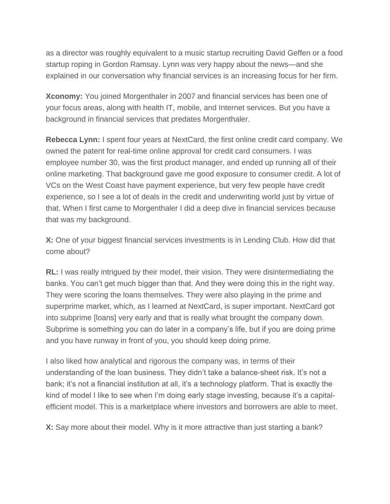as a director was roughly equivalent to a music startup recruiting David Geffen or a food startup roping in Gordon Ramsay. Lynn was very happy about the news—and she explained in our conversation why financial services is an increasing focus for her firm.

**Xconomy:** You joined Morgenthaler in 2007 and financial services has been one of your focus areas, along with health IT, mobile, and Internet services. But you have a background in financial services that predates Morgenthaler.

**Rebecca Lynn:** I spent four years at NextCard, the first online credit card company. We owned the patent for real-time online approval for credit card consumers. I was employee number 30, was the first product manager, and ended up running all of their online marketing. That background gave me good exposure to consumer credit. A lot of VCs on the West Coast have payment experience, but very few people have credit experience, so I see a lot of deals in the credit and underwriting world just by virtue of that. When I first came to Morgenthaler I did a deep dive in financial services because that was my background.

**X:** One of your biggest financial services investments is in Lending Club. How did that come about?

**RL:** I was really intrigued by their model, their vision. They were disintermediating the banks. You can't get much bigger than that. And they were doing this in the right way. They were scoring the loans themselves. They were also playing in the prime and superprime market, which, as I learned at NextCard, is super important. NextCard got into subprime [loans] very early and that is really what brought the company down. Subprime is something you can do later in a company's life, but if you are doing prime and you have runway in front of you, you should keep doing prime.

I also liked how analytical and rigorous the company was, in terms of their understanding of the loan business. They didn't take a balance-sheet risk. It's not a bank; it's not a financial institution at all, it's a technology platform. That is exactly the kind of model I like to see when I'm doing early stage investing, because it's a capitalefficient model. This is a marketplace where investors and borrowers are able to meet.

**X:** Say more about their model. Why is it more attractive than just starting a bank?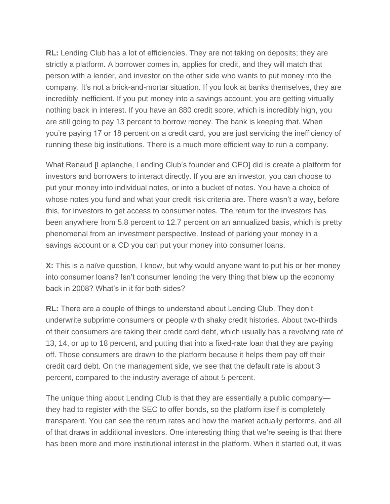**RL:** Lending Club has a lot of efficiencies. They are not taking on deposits; they are strictly a platform. A borrower comes in, applies for credit, and they will match that person with a lender, and investor on the other side who wants to put money into the company. It's not a brick-and-mortar situation. If you look at banks themselves, they are incredibly inefficient. If you put money into a savings account, you are getting virtually nothing back in interest. If you have an 880 credit score, which is incredibly high, you are still going to pay 13 percent to borrow money. The bank is keeping that. When you're paying 17 or 18 percent on a credit card, you are just servicing the inefficiency of running these big institutions. There is a much more efficient way to run a company.

What Renaud [Laplanche, Lending Club's founder and CEO] did is create a platform for investors and borrowers to interact directly. If you are an investor, you can choose to put your money into individual notes, or into a bucket of notes. You have a choice of whose notes you fund and what your credit risk criteria are. There wasn't a way, before this, for investors to get access to consumer notes. The return for the investors has been anywhere from 5.8 percent to 12.7 percent on an annualized basis, which is pretty phenomenal from an investment perspective. Instead of parking your money in a savings account or a CD you can put your money into consumer loans.

**X:** This is a naïve question, I know, but why would anyone want to put his or her money into consumer loans? Isn't consumer lending the very thing that blew up the economy back in 2008? What's in it for both sides?

**RL:** There are a couple of things to understand about Lending Club. They don't underwrite subprime consumers or people with shaky credit histories. About two-thirds of their consumers are taking their credit card debt, which usually has a revolving rate of 13, 14, or up to 18 percent, and putting that into a fixed-rate loan that they are paying off. Those consumers are drawn to the platform because it helps them pay off their credit card debt. On the management side, we see that the default rate is about 3 percent, compared to the industry average of about 5 percent.

The unique thing about Lending Club is that they are essentially a public company they had to register with the SEC to offer bonds, so the platform itself is completely transparent. You can see the return rates and how the market actually performs, and all of that draws in additional investors. One interesting thing that we're seeing is that there has been more and more institutional interest in the platform. When it started out, it was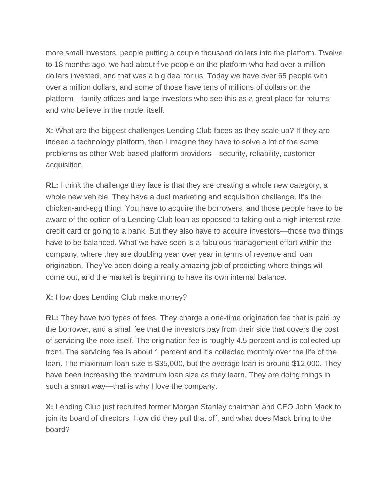more small investors, people putting a couple thousand dollars into the platform. Twelve to 18 months ago, we had about five people on the platform who had over a million dollars invested, and that was a big deal for us. Today we have over 65 people with over a million dollars, and some of those have tens of millions of dollars on the platform—family offices and large investors who see this as a great place for returns and who believe in the model itself.

**X:** What are the biggest challenges Lending Club faces as they scale up? If they are indeed a technology platform, then I imagine they have to solve a lot of the same problems as other Web-based platform providers—security, reliability, customer acquisition.

**RL:** I think the challenge they face is that they are creating a whole new category, a whole new vehicle. They have a dual marketing and acquisition challenge. It's the chicken-and-egg thing. You have to acquire the borrowers, and those people have to be aware of the option of a Lending Club loan as opposed to taking out a high interest rate credit card or going to a bank. But they also have to acquire investors—those two things have to be balanced. What we have seen is a fabulous management effort within the company, where they are doubling year over year in terms of revenue and loan origination. They've been doing a really amazing job of predicting where things will come out, and the market is beginning to have its own internal balance.

## **X:** How does Lending Club make money?

**RL:** They have two types of fees. They charge a one-time origination fee that is paid by the borrower, and a small fee that the investors pay from their side that covers the cost of servicing the note itself. The origination fee is roughly 4.5 percent and is collected up front. The servicing fee is about 1 percent and it's collected monthly over the life of the loan. The maximum loan size is \$35,000, but the average loan is around \$12,000. They have been increasing the maximum loan size as they learn. They are doing things in such a smart way—that is why I love the company.

**X:** Lending Club just recruited former Morgan Stanley chairman and CEO John Mack to join its board of directors. How did they pull that off, and what does Mack bring to the board?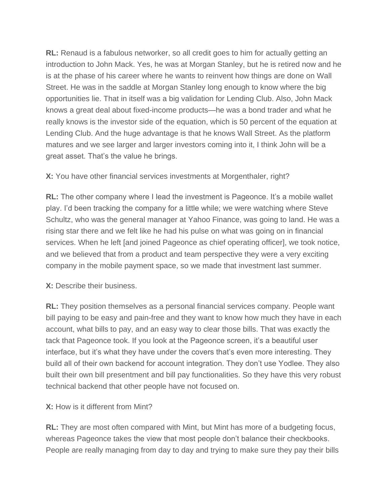**RL:** Renaud is a fabulous networker, so all credit goes to him for actually getting an introduction to John Mack. Yes, he was at Morgan Stanley, but he is retired now and he is at the phase of his career where he wants to reinvent how things are done on Wall Street. He was in the saddle at Morgan Stanley long enough to know where the big opportunities lie. That in itself was a big validation for Lending Club. Also, John Mack knows a great deal about fixed-income products—he was a bond trader and what he really knows is the investor side of the equation, which is 50 percent of the equation at Lending Club. And the huge advantage is that he knows Wall Street. As the platform matures and we see larger and larger investors coming into it, I think John will be a great asset. That's the value he brings.

**X:** You have other financial services investments at Morgenthaler, right?

**RL:** The other company where I lead the investment is Pageonce. It's a mobile wallet play. I'd been tracking the company for a little while; we were watching where Steve Schultz, who was the general manager at Yahoo Finance, was going to land. He was a rising star there and we felt like he had his pulse on what was going on in financial services. When he left [and joined Pageonce as chief operating officer], we took notice, and we believed that from a product and team perspective they were a very exciting company in the mobile payment space, so we made that investment last summer.

**X:** Describe their business.

**RL:** They position themselves as a personal financial services company. People want bill paying to be easy and pain-free and they want to know how much they have in each account, what bills to pay, and an easy way to clear those bills. That was exactly the tack that Pageonce took. If you look at the Pageonce screen, it's a beautiful user interface, but it's what they have under the covers that's even more interesting. They build all of their own backend for account integration. They don't use Yodlee. They also built their own bill presentment and bill pay functionalities. So they have this very robust technical backend that other people have not focused on.

## **X:** How is it different from Mint?

**RL:** They are most often compared with Mint, but Mint has more of a budgeting focus, whereas Pageonce takes the view that most people don't balance their checkbooks. People are really managing from day to day and trying to make sure they pay their bills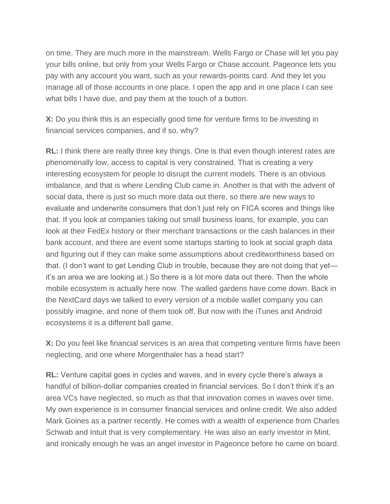on time. They are much more in the mainstream. Wells Fargo or Chase will let you pay your bills online, but only from your Wells Fargo or Chase account. Pageonce lets you pay with any account you want, such as your rewards-points card. And they let you manage all of those accounts in one place. I open the app and in one place I can see what bills I have due, and pay them at the touch of a button.

**X:** Do you think this is an especially good time for venture firms to be investing in financial services companies, and if so, why?

**RL:** I think there are really three key things. One is that even though interest rates are phenomenally low, access to capital is very constrained. That is creating a very interesting ecosystem for people to disrupt the current models. There is an obvious imbalance, and that is where Lending Club came in. Another is that with the advent of social data, there is just so much more data out there, so there are new ways to evaluate and underwrite consumers that don't just rely on FICA scores and things like that. If you look at companies taking out small business loans, for example, you can look at their FedEx history or their merchant transactions or the cash balances in their bank account, and there are event some startups starting to look at social graph data and figuring out if they can make some assumptions about creditworthiness based on that. (I don't want to get Lending Club in trouble, because they are not doing that yet it's an area we are looking at.) So there is a lot more data out there. Then the whole mobile ecosystem is actually here now. The walled gardens have come down. Back in the NextCard days we talked to every version of a mobile wallet company you can possibly imagine, and none of them took off. But now with the iTunes and Android ecosystems it is a different ball game.

**X:** Do you feel like financial services is an area that competing venture firms have been neglecting, and one where Morgenthaler has a head start?

**RL:** Venture capital goes in cycles and waves, and in every cycle there's always a handful of billion-dollar companies created in financial services. So I don't think it's an area VCs have neglected, so much as that that innovation comes in waves over time. My own experience is in consumer financial services and online credit. We also added Mark Goines as a partner recently. He comes with a wealth of experience from Charles Schwab and Intuit that is very complementary. He was also an early investor in Mint, and ironically enough he was an angel investor in Pageonce before he came on board.